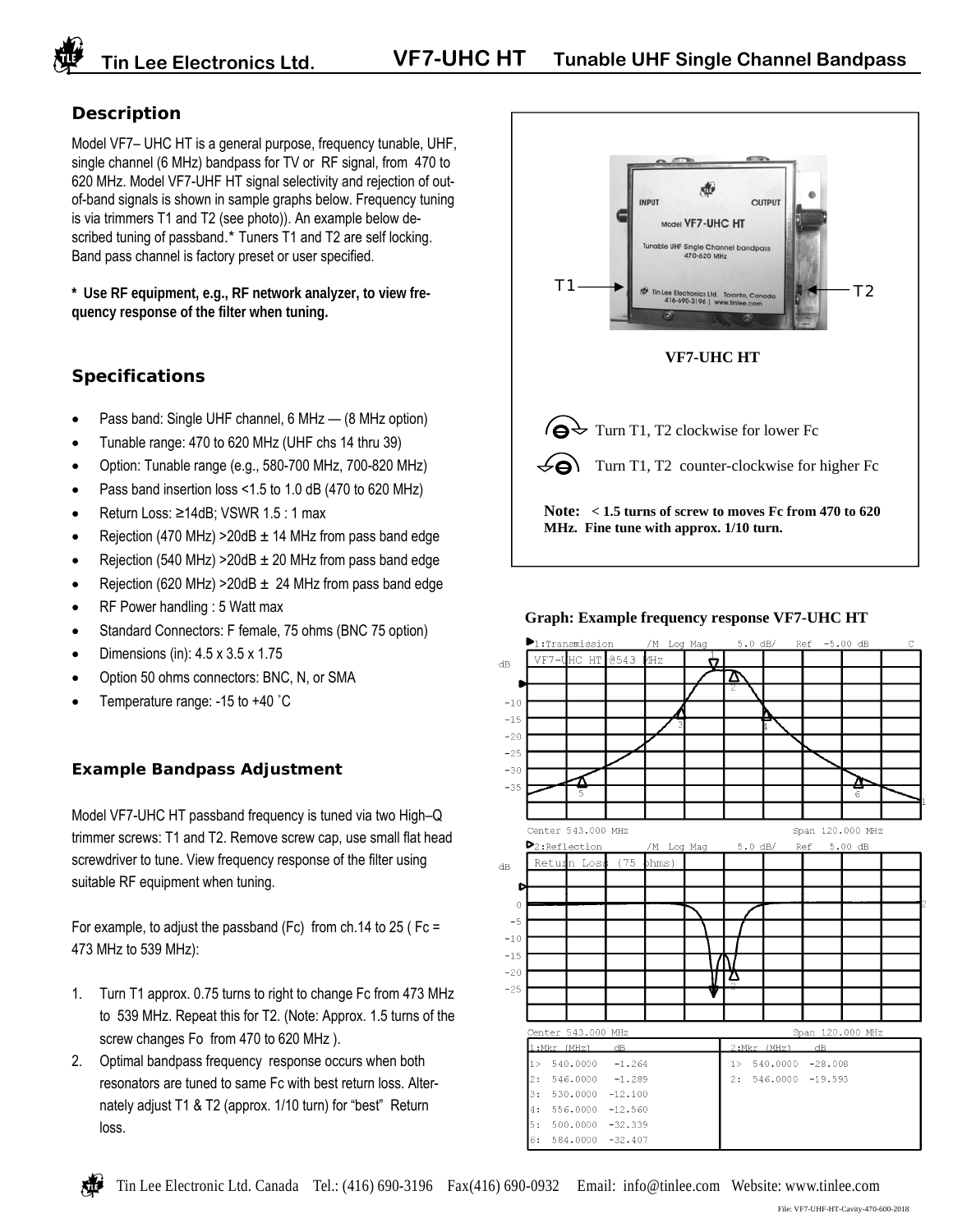## **Description**

Model VF7– UHC HT is a general purpose, frequency tunable, UHF, single channel (6 MHz) bandpass for TV or RF signal, from 470 to 620 MHz. Model VF7-UHF HT signal selectivity and rejection of outof-band signals is shown in sample graphs below. Frequency tuning is via trimmers T1 and T2 (see photo)). An example below described tuning of passband.\* Tuners T1 and T2 are self locking. Band pass channel is factory preset or user specified.

**\* Use RF equipment, e.g., RF network analyzer, to view frequency response of the filter when tuning.**

## **Specifications**

- Pass band: Single UHF channel, 6 MHz (8 MHz option)
- Tunable range: 470 to 620 MHz (UHF chs 14 thru 39)
- Option: Tunable range (e.g., 580-700 MHz, 700-820 MHz)
- Pass band insertion loss <1.5 to 1.0 dB (470 to 620 MHz)
- Return Loss: ≥14dB; VSWR 1.5 : 1 max
- Rejection (470 MHz) > 20dB  $\pm$  14 MHz from pass band edge
- Rejection (540 MHz) > 20dB  $\pm$  20 MHz from pass band edge
- Rejection (620 MHz) > 20dB  $\pm$  24 MHz from pass band edge
- RF Power handling : 5 Watt max
- Standard Connectors: F female, 75 ohms (BNC 75 option)
- Dimensions (in): 4.5 x 3.5 x 1.75
- Option 50 ohms connectors: BNC, N, or SMA
- Temperature range: -15 to +40 ˚C

## **Example Bandpass Adjustment**

Model VF7-UHC HT passband frequency is tuned via two High–Q trimmer screws: T1 and T2. Remove screw cap, use small flat head screwdriver to tune. View frequency response of the filter using suitable RF equipment when tuning.

For example, to adjust the passband (Fc) from ch.14 to 25 ( $Fc =$ 473 MHz to 539 MHz):

- 1. Turn T1 approx. 0.75 turns to right to change Fc from 473 MHz to 539 MHz. Repeat this for T2. (Note: Approx. 1.5 turns of the screw changes Fo from 470 to 620 MHz ).
- 2. Optimal bandpass frequency response occurs when both resonators are tuned to same Fc with best return loss. Alternately adjust T1 & T2 (approx. 1/10 turn) for "best" Return loss.



### **Graph: Example frequency response VF7-UHC HT**